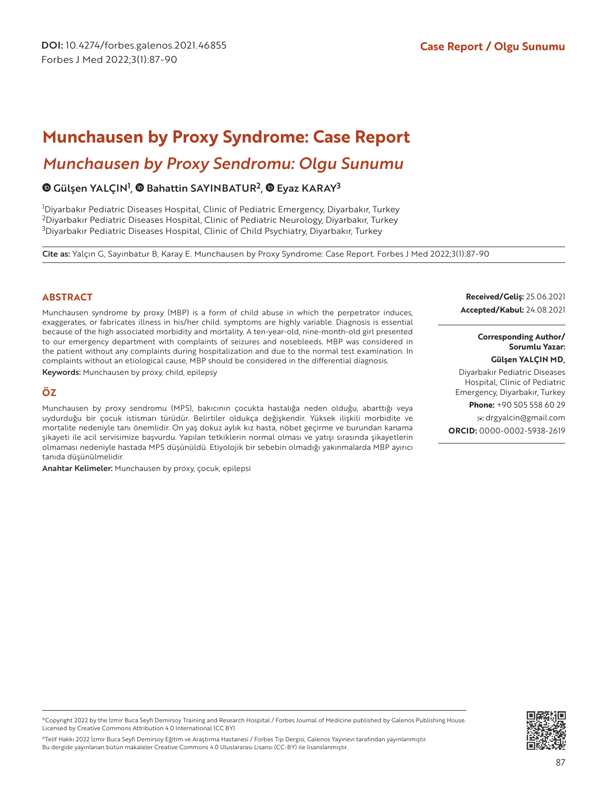# *Munchausen by Proxy Sendromu: Olgu Sunumu* **Munchausen by Proxy Syndrome: Case Report**

# GülşenYALÇIN<sup>1</sup>, @ Bahattin SAYINBATUR<sup>2</sup>, @ Eyaz KARAY<sup>3</sup>

1 Diyarbakır Pediatric Diseases Hospital, Clinic of Pediatric Emergency, Diyarbakır, Turkey <sup>2</sup>Diyarbakır Pediatric Diseases Hospital, Clinic of Pediatric Neurology, Diyarbakır, Turkey <sup>3</sup>Diyarbakır Pediatric Diseases Hospital, Clinic of Child Psychiatry, Diyarbakır, Turkey

Cite as: Yalçın G, Sayınbatur B, Karay E. Munchausen by Proxy Syndrome: Case Report. Forbes J Med 2022;3(1):87-90

#### **ABSTRACT**

Munchausen syndrome by proxy (MBP) is a form of child abuse in which the perpetrator induces, exaggerates, or fabricates illness in his/her child. symptoms are highly variable. Diagnosis is essential because of the high associated morbidity and mortality. A ten-year-old, nine-month-old girl presented to our emergency department with complaints of seizures and nosebleeds. MBP was considered in the patient without any complaints during hospitalization and due to the normal test examination. In complaints without an etiological cause, MBP should be considered in the differential diagnosis.

Keywords: Munchausen by proxy, child, epilepsy

#### **ÖZ**

Munchausen by proxy sendromu (MPS), bakıcının çocukta hastalığa neden olduğu, abarttığı veya uydurduğu bir çocuk istismarı türüdür. Belirtiler oldukça değişkendir. Yüksek ilişkili morbidite ve mortalite nedeniyle tanı önemlidir. On yaş dokuz aylık kız hasta, nöbet geçirme ve burundan kanama şikayeti ile acil servisimize başvurdu. Yapılan tetkiklerin normal olması ve yatışı sırasında şikayetlerin olmaması nedeniyle hastada MPS düşünüldü. Etiyolojik bir sebebin olmadığı yakınmalarda MBP ayırıcı tanıda düşünülmelidir.

Anahtar Kelimeler: Munchausen by proxy, çocuk, epilepsi

**Received/Geliş:** 25.06.2021 **Accepted/Kabul:** 24.08.2021

> **Corresponding Author/ Sorumlu Yazar:**

**Gülşen YALÇIN MD,** 

Diyarbakır Pediatric Diseases Hospital, Clinic of Pediatric Emergency, Diyarbakır, Turkey

**Phone:** +90 505 558 60 29

 drgyalcin@gmail.com **ORCID:** 0000-0002-5938-2619

©Copyright 2022 by the İzmir Buca Seyfi Demirsoy Training and Research Hospital / Forbes Journal of Medicine published by Galenos Publishing House. Licensed by Creative Commons Attribution 4.0 International (CC BY)

©Telif Hakkı 2022 İzmir Buca Seyfi Demirsoy Eğitim ve Araştırma Hastanesi / Forbes Tıp Dergisi, Galenos Yayınevi tarafından yayınlanmıştır. Bu dergide yayınlanan bütün makaleler Creative Commons 4.0 Uluslararası Lisansı (CC-BY) ile lisanslanmıştır.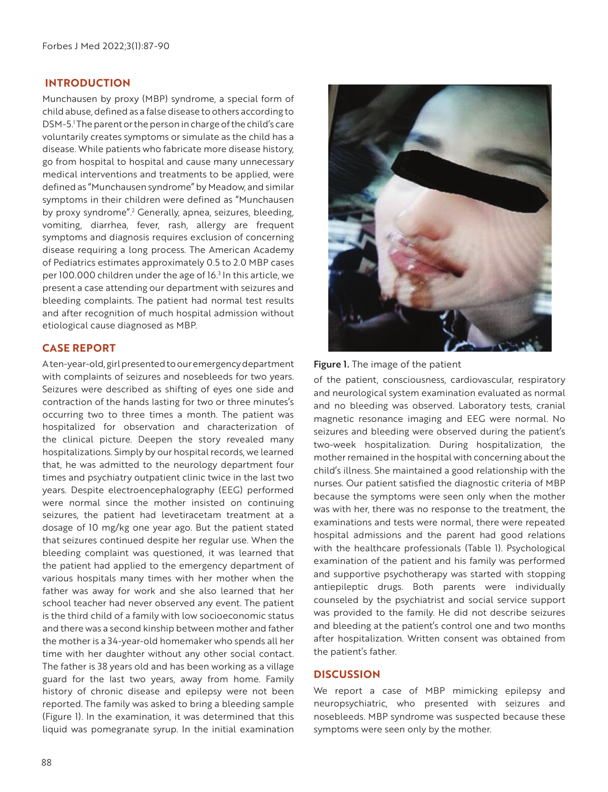### **INTRODUCTION**

Munchausen by proxy (MBP) syndrome, a special form of child abuse, defined as a false disease to others according to DSM-5.1 The parent or the person in charge of the child's care voluntarily creates symptoms or simulate as the child has a disease. While patients who fabricate more disease history, go from hospital to hospital and cause many unnecessary medical interventions and treatments to be applied, were defined as "Munchausen syndrome" by Meadow, and similar symptoms in their children were defined as "Munchausen by proxy syndrome".<sup>2</sup> Generally, apnea, seizures, bleeding, vomiting, diarrhea, fever, rash, allergy are frequent symptoms and diagnosis requires exclusion of concerning disease requiring a long process. The American Academy of Pediatrics estimates approximately 0.5 to 2.0 MBP cases per 100.000 children under the age of 16.<sup>3</sup> In this article, we present a case attending our department with seizures and bleeding complaints. The patient had normal test results and after recognition of much hospital admission without etiological cause diagnosed as MBP.

# **CASE REPORT**

A ten-year-old, girl presented to our emergency department with complaints of seizures and nosebleeds for two years. Seizures were described as shifting of eyes one side and contraction of the hands lasting for two or three minutes's occurring two to three times a month. The patient was hospitalized for observation and characterization of the clinical picture. Deepen the story revealed many hospitalizations. Simply by our hospital records, we learned that, he was admitted to the neurology department four times and psychiatry outpatient clinic twice in the last two years. Despite electroencephalography (EEG) performed were normal since the mother insisted on continuing seizures, the patient had levetiracetam treatment at a dosage of 10 mg/kg one year ago. But the patient stated that seizures continued despite her regular use. When the bleeding complaint was questioned, it was learned that the patient had applied to the emergency department of various hospitals many times with her mother when the father was away for work and she also learned that her school teacher had never observed any event. The patient is the third child of a family with low socioeconomic status and there was a second kinship between mother and father the mother is a 34-year-old homemaker who spends all her time with her daughter without any other social contact. The father is 38 years old and has been working as a village guard for the last two years, away from home. Family history of chronic disease and epilepsy were not been reported. The family was asked to bring a bleeding sample (Figure 1). In the examination, it was determined that this liquid was pomegranate syrup. In the initial examination



Figure 1. The image of the patient

of the patient, consciousness, cardiovascular, respiratory and neurological system examination evaluated as normal and no bleeding was observed. Laboratory tests, cranial magnetic resonance imaging and EEG were normal. No seizures and bleeding were observed during the patient's two-week hospitalization. During hospitalization, the mother remained in the hospital with concerning about the child's illness. She maintained a good relationship with the nurses. Our patient satisfied the diagnostic criteria of MBP because the symptoms were seen only when the mother was with her, there was no response to the treatment, the examinations and tests were normal, there were repeated hospital admissions and the parent had good relations with the healthcare professionals (Table 1). Psychological examination of the patient and his family was performed and supportive psychotherapy was started with stopping antiepileptic drugs. Both parents were individually counseled by the psychiatrist and social service support was provided to the family. He did not describe seizures and bleeding at the patient's control one and two months after hospitalization. Written consent was obtained from the patient's father.

#### **DISCUSSION**

We report a case of MBP mimicking epilepsy and neuropsychiatric, who presented with seizures and nosebleeds. MBP syndrome was suspected because these symptoms were seen only by the mother.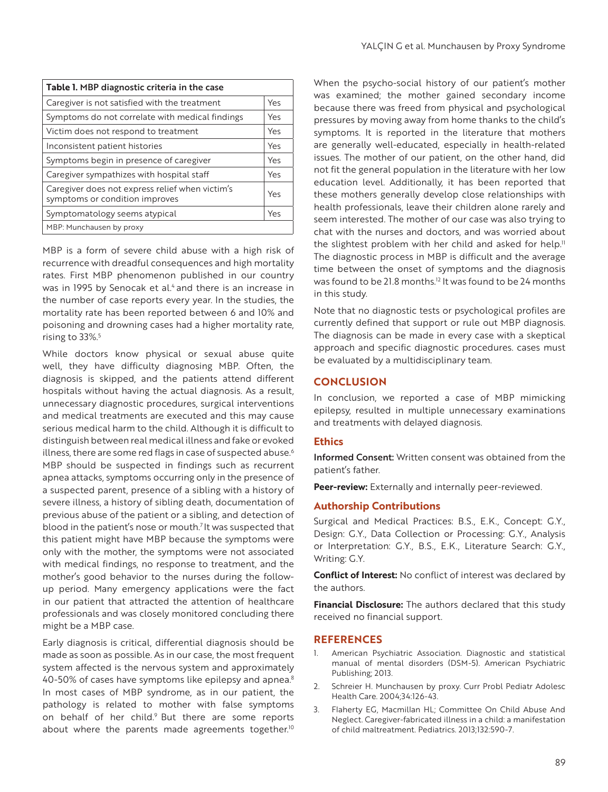| Table 1. MBP diagnostic criteria in the case                                      |     |
|-----------------------------------------------------------------------------------|-----|
| Caregiver is not satisfied with the treatment                                     | Yes |
| Symptoms do not correlate with medical findings                                   | Yes |
| Victim does not respond to treatment                                              | Yes |
| Inconsistent patient histories                                                    | Yes |
| Symptoms begin in presence of caregiver                                           | Yes |
| Caregiver sympathizes with hospital staff                                         | Yes |
| Caregiver does not express relief when victim's<br>symptoms or condition improves | Yes |
| Symptomatology seems atypical                                                     | Yes |
| MBP: Munchausen by proxy                                                          |     |

MBP is a form of severe child abuse with a high risk of recurrence with dreadful consequences and high mortality rates. First MBP phenomenon published in our country was in 1995 by Senocak et al.<sup>4</sup> and there is an increase in the number of case reports every year. In the studies, the mortality rate has been reported between 6 and 10% and poisoning and drowning cases had a higher mortality rate, rising to 33%.<sup>5</sup>

While doctors know physical or sexual abuse quite well, they have difficulty diagnosing MBP. Often, the diagnosis is skipped, and the patients attend different hospitals without having the actual diagnosis. As a result, unnecessary diagnostic procedures, surgical interventions and medical treatments are executed and this may cause serious medical harm to the child. Although it is difficult to distinguish between real medical illness and fake or evoked illness, there are some red flags in case of suspected abuse.<sup>6</sup> MBP should be suspected in findings such as recurrent apnea attacks, symptoms occurring only in the presence of a suspected parent, presence of a sibling with a history of severe illness, a history of sibling death, documentation of previous abuse of the patient or a sibling, and detection of blood in the patient's nose or mouth.<sup>7</sup> It was suspected that this patient might have MBP because the symptoms were only with the mother, the symptoms were not associated with medical findings, no response to treatment, and the mother's good behavior to the nurses during the followup period. Many emergency applications were the fact in our patient that attracted the attention of healthcare professionals and was closely monitored concluding there might be a MBP case.

Early diagnosis is critical, differential diagnosis should be made as soon as possible. As in our case, the most frequent system affected is the nervous system and approximately 40-50% of cases have symptoms like epilepsy and apnea.<sup>8</sup> In most cases of MBP syndrome, as in our patient, the pathology is related to mother with false symptoms on behalf of her child.<sup>9</sup> But there are some reports about where the parents made agreements together.<sup>10</sup>

When the psycho-social history of our patient's mother was examined; the mother gained secondary income because there was freed from physical and psychological pressures by moving away from home thanks to the child's symptoms. It is reported in the literature that mothers are generally well-educated, especially in health-related issues. The mother of our patient, on the other hand, did not fit the general population in the literature with her low education level. Additionally, it has been reported that these mothers generally develop close relationships with health professionals, leave their children alone rarely and seem interested. The mother of our case was also trying to chat with the nurses and doctors, and was worried about the slightest problem with her child and asked for help.<sup>11</sup> The diagnostic process in MBP is difficult and the average time between the onset of symptoms and the diagnosis was found to be 21.8 months.<sup>12</sup> It was found to be 24 months in this study.

Note that no diagnostic tests or psychological profiles are currently defined that support or rule out MBP diagnosis. The diagnosis can be made in every case with a skeptical approach and specific diagnostic procedures. cases must be evaluated by a multidisciplinary team.

# **CONCLUSION**

In conclusion, we reported a case of MBP mimicking epilepsy, resulted in multiple unnecessary examinations and treatments with delayed diagnosis.

# **Ethics**

Informed Consent: Written consent was obtained from the patient's father.

Peer-review: Externally and internally peer-reviewed.

# **Authorship Contributions**

Surgical and Medical Practices: B.S., E.K., Concept: G.Y., Design: G.Y., Data Collection or Processing: G.Y., Analysis or Interpretation: G.Y., B.S., E.K., Literature Search: G.Y., Writing: G.Y.

**Conflict of Interest:** No conflict of interest was declared by the authors.

**Financial Disclosure:** The authors declared that this study received no financial support.

#### **REFERENCES**

- 1. American Psychiatric Association. Diagnostic and statistical manual of mental disorders (DSM-5). American Psychiatric Publishing; 2013.
- 2. Schreier H. Munchausen by proxy. Curr Probl Pediatr Adolesc Health Care. 2004;34:126-43.
- 3. Flaherty EG, Macmillan HL; Committee On Child Abuse And Neglect. Caregiver-fabricated illness in a child: a manifestation of child maltreatment. Pediatrics. 2013;132:590-7.